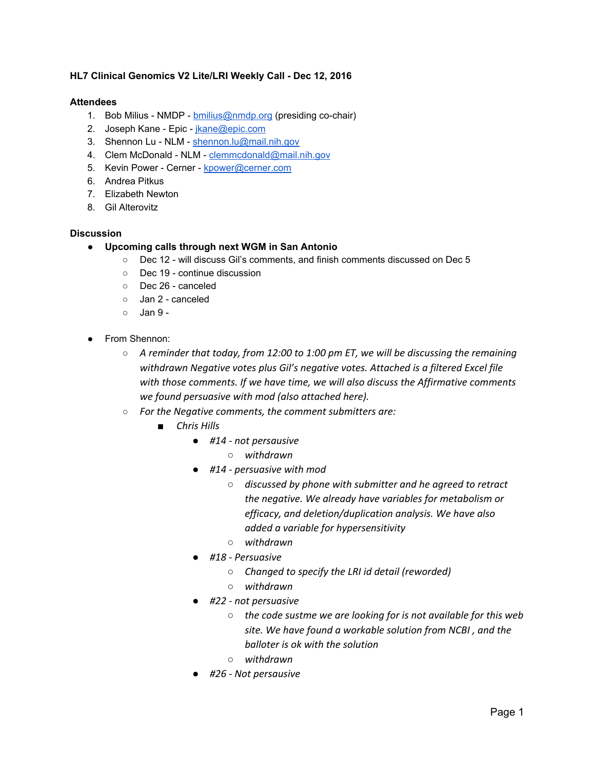## **HL7 Clinical Genomics V2 Lite/LRI Weekly Call - Dec 12, 2016**

## **Attendees**

- 1. Bob Milius NMDP [bmilius@nmdp.org](mailto:bmilius@nmdp.org) (presiding co-chair)
- 2. Joseph Kane Epic *jkane@epic.com*
- 3. Shennon Lu NLM - [shennon.lu@mail.nih.gov](mailto:shennon.lu@mail.nih.gov)
- 4. Clem McDonald NLM - [clemmcdonald@mail.nih.gov](mailto:clemmcdonald@mail.nih.gov)
- 5. Kevin Power Cerner - [kpower@cerner.com](mailto:kpower@cerner.com)
- 6. Andrea Pitkus
- 7. Elizabeth Newton
- 8. Gil Alterovitz

## **Discussion**

- **● Upcoming calls through next WGM in San Antonio**
	- Dec 12 will discuss Gil's comments, and finish comments discussed on Dec 5
	- Dec 19 continue discussion
	- Dec 26 canceled
	- Jan 2 canceled
	- $\circ$  Jan 9 -
- From Shennon:
	- *○ A reminder that today, from 12:00 to 1:00 pm ET, we will be discussing the remaining withdrawn Negative votes plus Gil's negative votes. Attached is a filtered Excel file with those comments. If we have time, we will also discuss the Affirmative comments we found persuasive with mod (also attached here).*
	- *○ For the Negative comments, the comment submitters are:*
		- *■ Chris Hills*
			- *● #14 not persausive*
				- *○ withdrawn*
			- *● #14 persuasive with mod*
				- *○ discussed by phone with submitter and he agreed to retract the negative. We already have variables for metabolism or efficacy, and deletion/duplication analysis. We have also added a variable for hypersensitivity*
				- *○ withdrawn*
			- *● #18 Persuasive*
				- *○ Changed to specify the LRI id detail (reworded)*
				- *○ withdrawn*
			- *● #22 not persuasive*
				- *○ the code sustme we are looking for is not available for this web site. We have found a workable solution from NCBI , and the balloter is ok with the solution*
				- *○ withdrawn*
			- *● #26 Not persausive*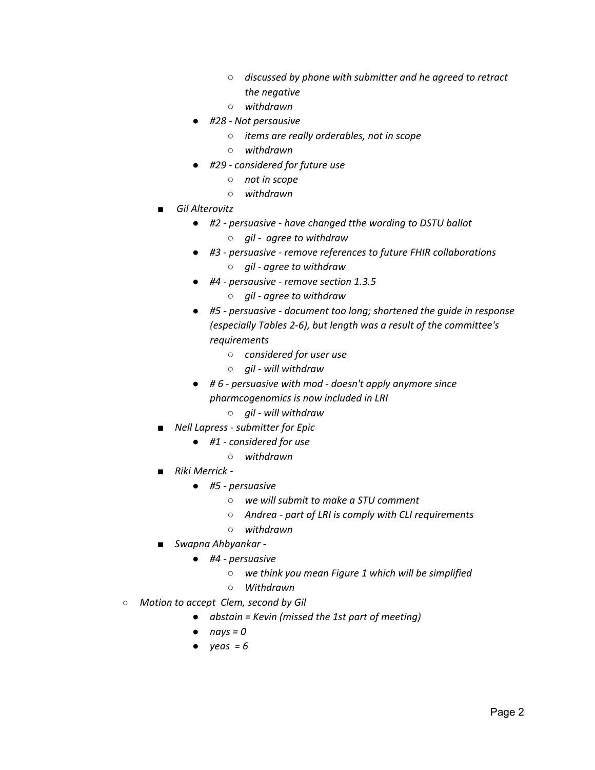- *○ discussed by phone with submitter and he agreed to retract the negative*
- *○ withdrawn*
- *● #28 Not persausive*
	- *○ items are really orderables, not in scope*
	- *○ withdrawn*
- *● #29 considered for future use*
	- *○ not in scope*
	- *○ withdrawn*
- *■ Gil Alterovitz*
	- *● #2 persuasive have changed tthe wording to DSTU ballot*
		- *○ gil agree to withdraw*
	- *● #3 persuasive remove references to future FHIR collaborations*
		- *○ gil agree to withdraw*
	- *● #4 persausive remove section 1.3.5*
		- *○ gil agree to withdraw*
	- *● #5 persuasive document too long; shortened the guide in response (especially Tables 2-6), but length was a result of the committee's requirements*
		- *○ considered for user use*
		- *○ gil will withdraw*
	- *● # 6 persuasive with mod doesn't apply anymore since pharmcogenomics is now included in LRI*
		- *○ gil will withdraw*
- *■ Nell Lapress submitter for Epic*
	- *● #1 considered for use*
		- *○ withdrawn*
- *■ Riki Merrick -*
	- *● #5 persuasive*
		- *○ we will submit to make a STU comment*
		- *○ Andrea part of LRI is comply with CLI requirements*
		- *○ withdrawn*
- *■ Swapna Ahbyankar -*
	- *● #4 persuasive*
		- *○ we think you mean Figure 1 which will be simplified*
		- *○ Withdrawn*
- *○ Motion to accept Clem, second by Gil*
	- *● abstain = Kevin (missed the 1st part of meeting)*
	- *● nays = 0*
	- *● yeas = 6*